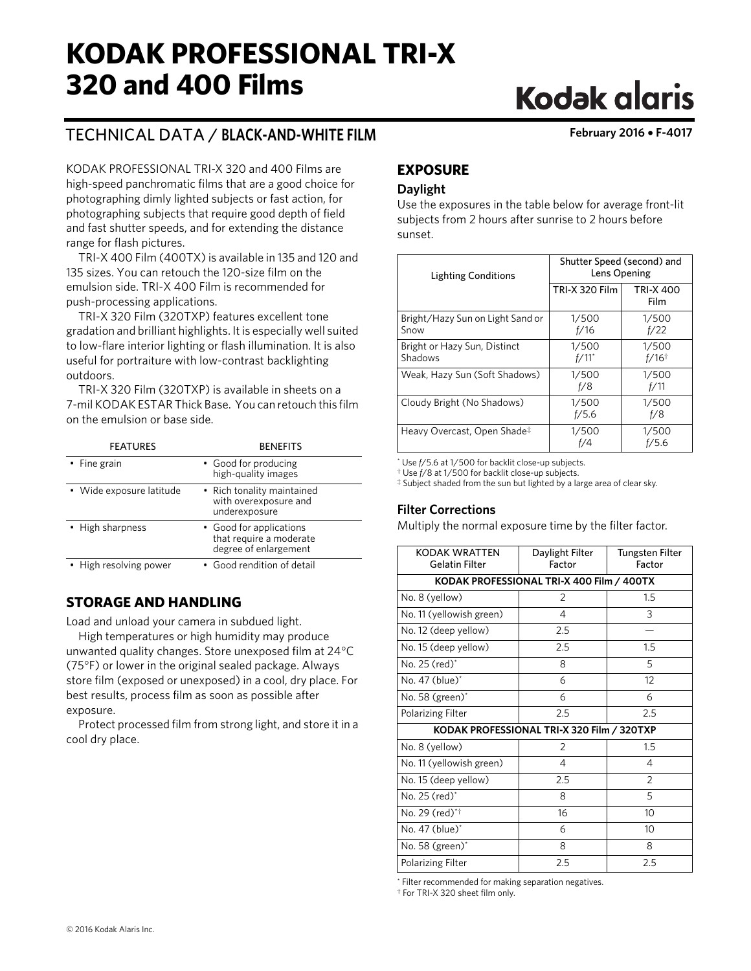## **KODAK PROFESSIONAL TRI-X 320 and 400 Films**

# **Kodak glaris**

## TECHNICAL DATA / **BLACK-AND-WHITE FILM February 2016** • **F-4017**

KODAK PROFESSIONAL TRI-X 320 and 400 Films are high-speed panchromatic films that are a good choice for photographing dimly lighted subjects or fast action, for photographing subjects that require good depth of field and fast shutter speeds, and for extending the distance range for flash pictures.

TRI-X 400 Film (400TX) is available in 135 and 120 and 135 sizes. You can retouch the 120-size film on the emulsion side. TRI-X 400 Film is recommended for push-processing applications.

TRI-X 320 Film (320TXP) features excellent tone gradation and brilliant highlights. It is especially well suited to low-flare interior lighting or flash illumination. It is also useful for portraiture with low-contrast backlighting outdoors.

TRI-X 320 Film (320TXP) is available in sheets on a 7-mil KODAK ESTAR Thick Base. You can retouch this film on the emulsion or base side.

| <b>FEATURES</b>          | <b>BENEFITS</b>                                                             |  |  |  |  |  |
|--------------------------|-----------------------------------------------------------------------------|--|--|--|--|--|
| • Fine grain             | • Good for producing<br>high-quality images                                 |  |  |  |  |  |
| • Wide exposure latitude | • Rich tonality maintained<br>with overexposure and<br>underexposure        |  |  |  |  |  |
| • High sharpness         | • Good for applications<br>that require a moderate<br>degree of enlargement |  |  |  |  |  |
| • High resolving power   | • Good rendition of detail                                                  |  |  |  |  |  |

## **STORAGE AND HANDLING**

Load and unload your camera in subdued light.

High temperatures or high humidity may produce unwanted quality changes. Store unexposed film at 24°C (75°F) or lower in the original sealed package. Always store film (exposed or unexposed) in a cool, dry place. For best results, process film as soon as possible after exposure.

Protect processed film from strong light, and store it in a cool dry place.

## **EXPOSURE**

## **Daylight**

Use the exposures in the table below for average front-lit subjects from 2 hours after sunrise to 2 hours before sunset.

| <b>Lighting Conditions</b>               | Shutter Speed (second) and<br>Lens Opening |                              |  |  |  |
|------------------------------------------|--------------------------------------------|------------------------------|--|--|--|
|                                          | <b>TRI-X 320 Film</b>                      | <b>TRI-X 400</b><br>Film     |  |  |  |
| Bright/Hazy Sun on Light Sand or<br>Snow | 1/500<br>f/16                              | 1/500<br>f/22                |  |  |  |
| Bright or Hazy Sun, Distinct<br>Shadows  | 1/500<br>$f/11^*$                          | 1/500<br>$f/16$ <sup>†</sup> |  |  |  |
| Weak, Hazy Sun (Soft Shadows)            | 1/500<br>f/8                               | 1/500<br>f/11                |  |  |  |
| Cloudy Bright (No Shadows)               | 1/500<br>f/5.6                             | 1/500<br>f/8                 |  |  |  |
| Heavy Overcast, Open Shade‡              | 1/500<br>f/4                               | 1/500<br>f/5.6               |  |  |  |

\* Use *f*/5.6 at 1/500 for backlit close-up subjects. † Use *f*/8 at 1/500 for backlit close-up subjects.

‡ Subject shaded from the sun but lighted by a large area of clear sky.

## **Filter Corrections**

Multiply the normal exposure time by the filter factor.

| KODAK WRATTEN<br>Gelatin Filter           | Daylight Filter<br>Factor                  | Tungsten Filter<br>Factor |  |  |  |  |  |  |
|-------------------------------------------|--------------------------------------------|---------------------------|--|--|--|--|--|--|
| KODAK PROFESSIONAL TRI-X 400 Film / 400TX |                                            |                           |  |  |  |  |  |  |
| $\overline{2}$<br>1.5<br>No. 8 (yellow)   |                                            |                           |  |  |  |  |  |  |
| No. 11 (yellowish green)                  | 4                                          | 3                         |  |  |  |  |  |  |
| No. 12 (deep yellow)                      | 2.5                                        |                           |  |  |  |  |  |  |
| No. 15 (deep yellow)                      | 2.5                                        | 1.5                       |  |  |  |  |  |  |
| No. 25 (red)*                             | 8                                          | 5                         |  |  |  |  |  |  |
| No. 47 (blue)*                            | 6                                          | 12                        |  |  |  |  |  |  |
| No. 58 (green)*                           | 6                                          | 6                         |  |  |  |  |  |  |
| <b>Polarizing Filter</b>                  | 2.5                                        | 2.5                       |  |  |  |  |  |  |
|                                           | KODAK PROFESSIONAL TRI-X 320 Film / 320TXP |                           |  |  |  |  |  |  |
| No. 8 (yellow)                            | $\overline{2}$                             | 1.5                       |  |  |  |  |  |  |
| No. 11 (yellowish green)                  | 4                                          | 4                         |  |  |  |  |  |  |
| No. 15 (deep yellow)                      | 2.5                                        | $\mathcal{P}$             |  |  |  |  |  |  |
| No. 25 (red) <sup>*</sup>                 | 8                                          | 5                         |  |  |  |  |  |  |
| No. 29 (red) <sup>*†</sup>                | 16                                         | 10                        |  |  |  |  |  |  |
| No. 47 (blue) <sup>*</sup>                | 6                                          | 10                        |  |  |  |  |  |  |
| No. 58 $(green)^*$                        | 8                                          | 8                         |  |  |  |  |  |  |
| Polarizing Filter                         | 2.5                                        | 2.5                       |  |  |  |  |  |  |

\* Filter recommended for making separation negatives. † For TRI-X 320 sheet film only.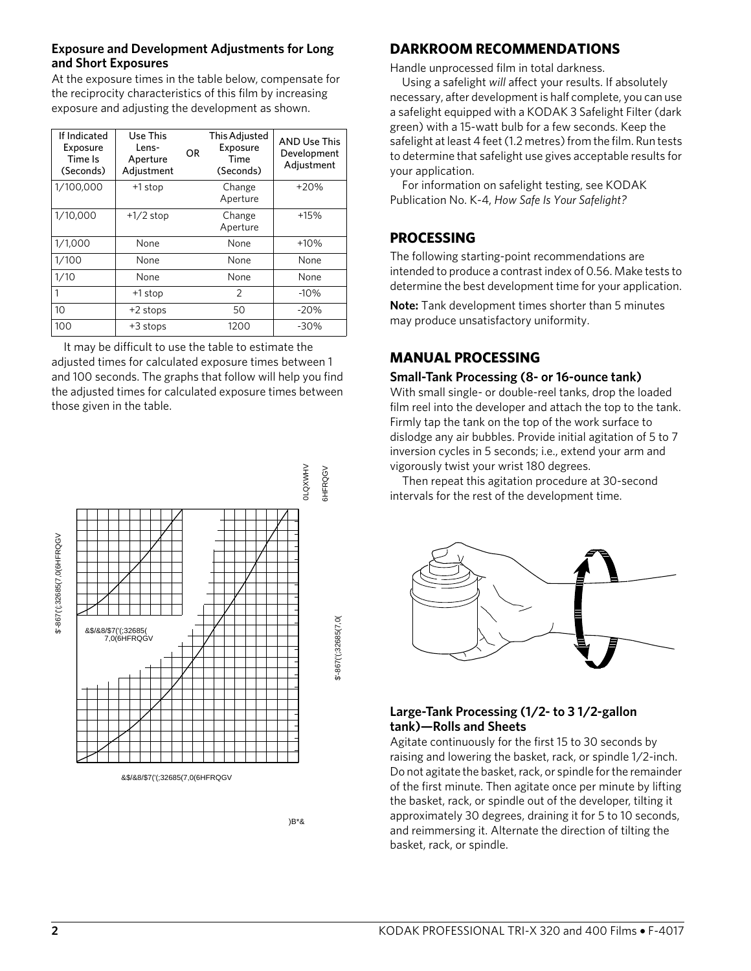#### **Exposure and Development Adjustments for Long and Short Exposures**

At the exposure times in the table below, compensate for the reciprocity characteristics of this film by increasing exposure and adjusting the development as shown.

| If Indicated<br>Exposure<br>Time Is<br>(Seconds) | Use This<br>Lens-<br>Aperture<br>Adjustment | <b>OR</b> | <b>This Adjusted</b><br>Exposure<br>Time<br>(Seconds) | <b>AND Use This</b><br>Development<br>Adjustment |
|--------------------------------------------------|---------------------------------------------|-----------|-------------------------------------------------------|--------------------------------------------------|
| 1/100,000                                        | +1 stop                                     |           | Change<br>Aperture                                    | $+20%$                                           |
| 1/10,000                                         | $+1/2$ stop                                 |           | Change<br>Aperture                                    | $+15%$                                           |
| 1/1,000                                          | None                                        |           | None                                                  | $+10%$                                           |
| 1/100                                            | None                                        |           | None                                                  | None                                             |
| 1/10                                             | None                                        |           | None                                                  | None                                             |
|                                                  | +1 stop                                     |           | $\overline{2}$                                        | $-10%$                                           |
| 10                                               | +2 stops                                    |           | 50                                                    | $-20%$                                           |
| 100                                              | $+3$ stops                                  |           | 1200                                                  | $-30%$                                           |

It may be difficult to use the table to estimate the adjusted times for calculated exposure times between 1 and 100 seconds. The graphs that follow will help you find the adjusted times for calculated exposure times between those given in the table.



)B\*&

## **DARKROOM RECOMMENDATIONS**

Handle unprocessed film in total darkness.

Using a safelight *will* affect your results. If absolutely necessary, after development is half complete, you can use a safelight equipped with a KODAK 3 Safelight Filter (dark green) with a 15-watt bulb for a few seconds. Keep the safelight at least 4 feet (1.2 metres) from the film. Run tests to determine that safelight use gives acceptable results for your application.

For information on safelight testing, see KODAK Publication No. K-4, *How Safe Is Your Safelight?*

## **PROCESSING**

The following starting-point recommendations are intended to produce a contrast index of 0.56. Make tests to determine the best development time for your application.

**Note:** Tank development times shorter than 5 minutes may produce unsatisfactory uniformity.

## **MANUAL PROCESSING**

#### **Small-Tank Processing (8- or 16-ounce tank)**

With small single- or double-reel tanks, drop the loaded film reel into the developer and attach the top to the tank. Firmly tap the tank on the top of the work surface to dislodge any air bubbles. Provide initial agitation of 5 to 7 inversion cycles in 5 seconds; i.e., extend your arm and vigorously twist your wrist 180 degrees.

Then repeat this agitation procedure at 30-second intervals for the rest of the development time.



## **Large-Tank Processing (1/2- to 3 1/2-gallon tank)—Rolls and Sheets**

Agitate continuously for the first 15 to 30 seconds by raising and lowering the basket, rack, or spindle 1/2-inch. Do not agitate the basket, rack, or spindle for the remainder of the first minute. Then agitate once per minute by lifting the basket, rack, or spindle out of the developer, tilting it approximately 30 degrees, draining it for 5 to 10 seconds, and reimmersing it. Alternate the direction of tilting the basket, rack, or spindle.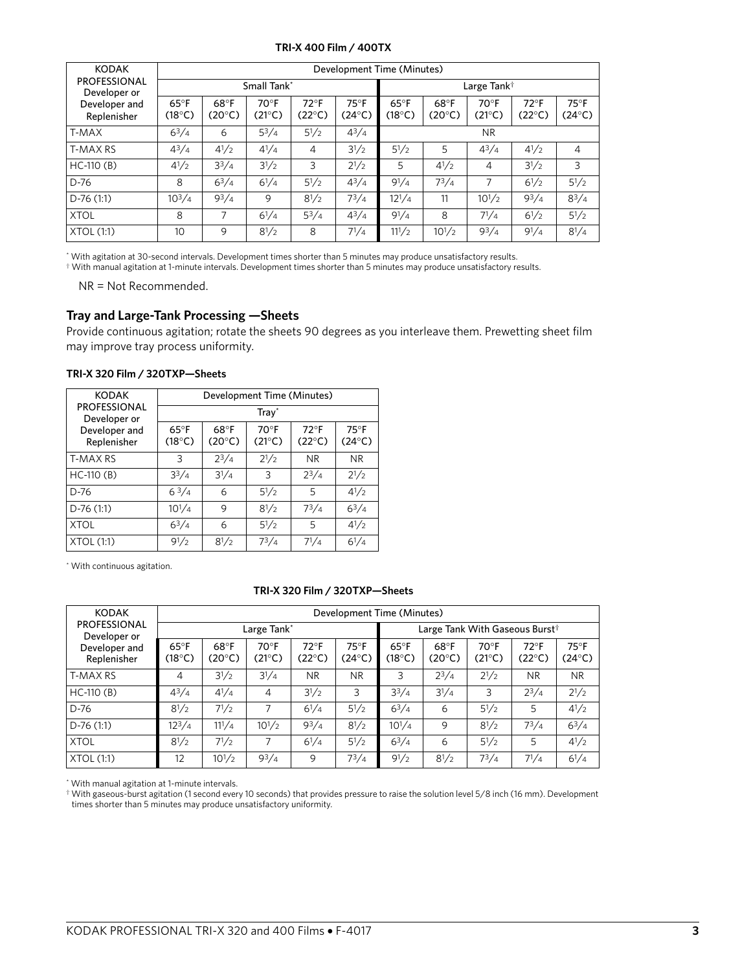#### **TRI-X 400 Film / 400TX**

| <b>KODAK</b>                        | Development Time (Minutes)        |                         |                        |                                  |                                   |                                   |                         |                                 |                                  |                                   |
|-------------------------------------|-----------------------------------|-------------------------|------------------------|----------------------------------|-----------------------------------|-----------------------------------|-------------------------|---------------------------------|----------------------------------|-----------------------------------|
| <b>PROFESSIONAL</b><br>Developer or |                                   |                         | Small Tank*            |                                  |                                   |                                   | Large Tank <sup>†</sup> |                                 |                                  |                                   |
| Developer and<br>Replenisher        | $65^{\circ}$ F<br>$(18^{\circ}C)$ | 68°F<br>$(20^{\circ}C)$ | $70^\circ F$<br>(21°C) | $72^{\circ}F$<br>$(22^{\circ}C)$ | $75^{\circ}$ F<br>$(24^{\circ}C)$ | $65^{\circ}$ F<br>$(18^{\circ}C)$ | 68°F<br>$(20^{\circ}C)$ | $70^\circ F$<br>$(21^{\circ}C)$ | $72^{\circ}F$<br>$(22^{\circ}C)$ | $75^{\circ}$ F<br>$(24^{\circ}C)$ |
| T-MAX                               | $6^{3}/4$                         | 6                       | $5^3/4$                | $5^{1/2}$                        | $4^{3}/4$                         | <b>NR</b>                         |                         |                                 |                                  |                                   |
| T-MAX RS                            | $4^{3}/4$                         | $4^{1}/2$               | $4^{1}/4$              | 4                                | $3^{1/2}$                         | $5^{1}/2$                         | 5                       | $4^{3}/4$                       | $4^{1/2}$                        | $\overline{4}$                    |
| $HC-110(B)$                         | $4^{1/2}$                         | $3^{3}/4$               | $3^{1/2}$              | 3                                | $2^{1/2}$                         | 5                                 | $4^{1/2}$               | 4                               | $3^{1/2}$                        | 3                                 |
| $D-76$                              | 8                                 | $6^{3}/4$               | $6^{1}/4$              | $5^{1}/2$                        | $4^{3}/4$                         | $9^{1}/4$                         | $7^{3}/4$               | 7                               | $6^{1/2}$                        | $5^{1}/2$                         |
| $D-76(1:1)$                         | $10^{3}/4$                        | $9^{3}/4$               | 9                      | $8^{1}/2$                        | $7^{3}/4$                         | $12^{1/4}$                        | 11                      | $10^{1/2}$                      | $9^{3}/4$                        | $8^{3}/4$                         |
| <b>XTOL</b>                         | 8                                 | 7                       | $6^{1}/4$              | $5^3/4$                          | $4^{3}/4$                         | $9^{1}/4$                         | 8                       | $7^{1}/4$                       | $6^{1/2}$                        | $5^{1/2}$                         |
| XTOL (1:1)                          | 10                                | 9                       | $8^{1}/2$              | 8                                | $7^{1/4}$                         | $11^{1/2}$                        | $10^{1/2}$              | $9^{3}/4$                       | $9^{1}/4$                        | $8^{1}/4$                         |

\* With agitation at 30-second intervals. Development times shorter than 5 minutes may produce unsatisfactory results.

† With manual agitation at 1-minute intervals. Development times shorter than 5 minutes may produce unsatisfactory results.

NR = Not Recommended.

#### **Tray and Large-Tank Processing —Sheets**

Provide continuous agitation; rotate the sheets 90 degrees as you interleave them. Prewetting sheet film may improve tray process uniformity.

| <b>KODAK</b>                        | Development Time (Minutes)        |                         |                                 |                                  |                                   |  |  |  |  |  |
|-------------------------------------|-----------------------------------|-------------------------|---------------------------------|----------------------------------|-----------------------------------|--|--|--|--|--|
| <b>PROFESSIONAL</b><br>Developer or | $Trav^*$                          |                         |                                 |                                  |                                   |  |  |  |  |  |
| Developer and<br>Replenisher        | $65^{\circ}$ F<br>$(18^{\circ}C)$ | 68°F<br>$(20^{\circ}C)$ | $70^\circ F$<br>$(21^{\circ}C)$ | $72^{\circ}F$<br>$(22^{\circ}C)$ | $75^{\circ}$ F<br>$(24^{\circ}C)$ |  |  |  |  |  |
| T-MAX RS                            | 3                                 | $2^{3}/4$               | $2^{1/2}$                       | NR.                              | <b>NR</b>                         |  |  |  |  |  |
| $HC-110(B)$                         | $3^{3}/4$                         | $3^{1}/4$               | 3                               | $2^{3}/4$                        | $2^{1/2}$                         |  |  |  |  |  |
| $D-76$                              | $6^{3}/4$                         | 6                       | $5^{1}/2$                       | 5                                | $4^{1}/2$                         |  |  |  |  |  |
| $D-76(1:1)$                         | $10^{1/4}$                        | 9                       | $8^{1}/2$                       | $7^3/4$                          | $6^{3}/4$                         |  |  |  |  |  |
| <b>XTOL</b>                         | $6^{3}/4$                         | 6                       | $5^{1}/2$                       | 5                                | $4^{1}/2$                         |  |  |  |  |  |
| XTOL (1:1)                          | $9^{1}/2$                         | $8^{1/2}$               | $7^3/4$                         | $7^{1}/4$                        | $6^{1}/4$                         |  |  |  |  |  |

#### **TRI-X 320 Film / 320TXP—Sheets**

\* With continuous agitation.

#### **TRI-X 320 Film / 320TXP—Sheets**

| <b>KODAK</b>                        | Development Time (Minutes) |                         |                        |                                  |                                   |                                   |                                            |                                 |                          |                        |  |
|-------------------------------------|----------------------------|-------------------------|------------------------|----------------------------------|-----------------------------------|-----------------------------------|--------------------------------------------|---------------------------------|--------------------------|------------------------|--|
| <b>PROFESSIONAL</b><br>Developer or |                            |                         | Large Tank*            |                                  |                                   |                                   | Large Tank With Gaseous Burst <sup>†</sup> |                                 |                          |                        |  |
| Developer and<br>Replenisher        | $65^{\circ}$ F<br>(18°C)   | 68°F<br>$(20^{\circ}C)$ | $70^\circ F$<br>(21°C) | $72^{\circ}F$<br>$(22^{\circ}C)$ | $75^{\circ}$ F<br>$(24^{\circ}C)$ | $65^{\circ}$ F<br>$(18^{\circ}C)$ | 68°F<br>$(20^{\circ}C)$                    | $70^\circ F$<br>$(21^{\circ}C)$ | $72^{\circ}$ F<br>(22°C) | $75^\circ F$<br>(24°C) |  |
| <b>T-MAX RS</b>                     | 4                          | $3^{1}/2$               | $3^{1}/4$              | <b>NR</b>                        | <b>NR</b>                         | 3                                 | $2^{3}/4$                                  | $2^{1/2}$                       | <b>NR</b>                | <b>NR</b>              |  |
| $HC-110(B)$                         | $4^{3}/4$                  | $4^{1}/4$               | 4                      | $3^{1}/2$                        | 3                                 | $3^{3}/4$                         | $3^{1}/4$                                  | 3                               | $2^{3}/4$                | $2^{1/2}$              |  |
| $D-76$                              | $8^{1}/2$                  | $7^{1/2}$               | 7                      | $6^{1}/4$                        | $5^{1}/2$                         | $6^{3}/4$                         | 6                                          | $5^{1}/2$                       | 5                        | $4^{1}/2$              |  |
| $D-76(1:1)$                         | $12^3/4$                   | $11^{1}/4$              | $10^{1/2}$             | $9^{3}/4$                        | $8^{1}/2$                         | $10^{1}/4$                        | 9                                          | $8^{1}/2$                       | $7^3/4$                  | $6^{3}/4$              |  |
| <b>XTOL</b>                         | $8^{1}/2$                  | $7^{1/2}$               | 7                      | $6^{1}/4$                        | $5^{1}/2$                         | $6^{3}/4$                         | 6                                          | $5^{1}/2$                       | 5                        | $4^{1}/2$              |  |
| XTOL (1:1)                          | 12                         | $10^{1/2}$              | $9^{3}/4$              | 9                                | $7^3/4$                           | $9^{1}/2$                         | $8^{1}/2$                                  | $7^3/4$                         | $7^{1}/4$                | $6^{1}/4$              |  |

\* With manual agitation at 1-minute intervals.

† With gaseous-burst agitation (1 second every 10 seconds) that provides pressure to raise the solution level 5/8 inch (16 mm). Development times shorter than 5 minutes may produce unsatisfactory uniformity.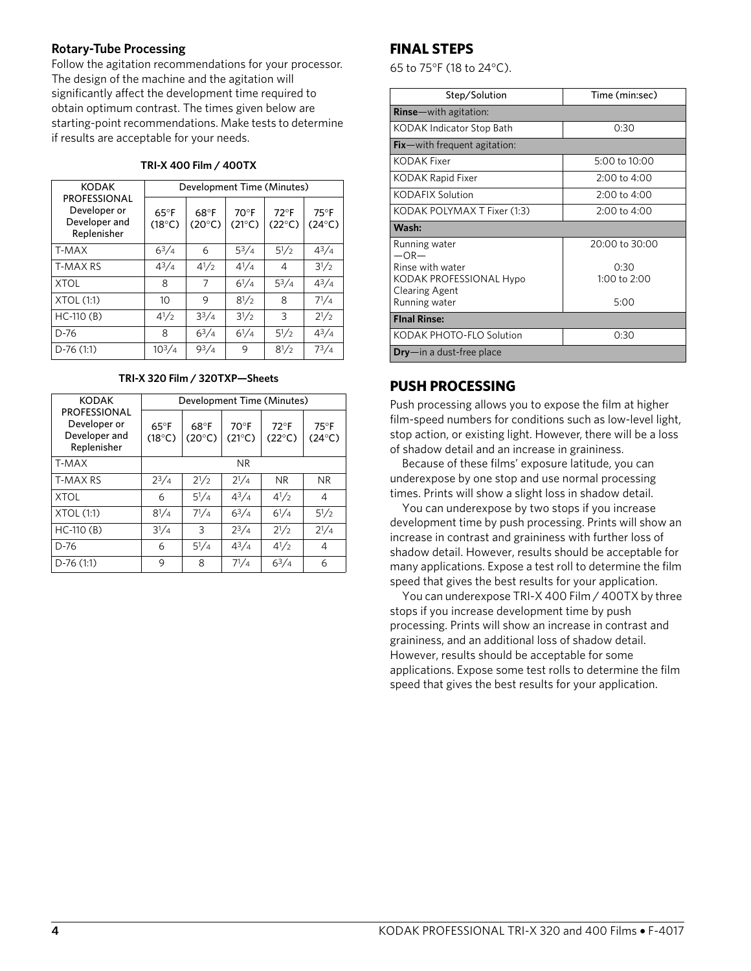#### **Rotary-Tube Processing**

Follow the agitation recommendations for your processor. The design of the machine and the agitation will significantly affect the development time required to obtain optimum contrast. The times given below are starting-point recommendations. Make tests to determine if results are acceptable for your needs.

| <b>KODAK</b>                                                        | Development Time (Minutes)        |                         |                                   |                                  |                                 |  |  |  |  |
|---------------------------------------------------------------------|-----------------------------------|-------------------------|-----------------------------------|----------------------------------|---------------------------------|--|--|--|--|
| <b>PROFESSIONAL</b><br>Developer or<br>Developer and<br>Replenisher | $65^{\circ}$ F<br>$(18^{\circ}C)$ | 68°F<br>$(20^{\circ}C)$ | $70^{\circ}$ F<br>$(21^{\circ}C)$ | $72^{\circ}F$<br>$(22^{\circ}C)$ | $75^\circ F$<br>$(24^{\circ}C)$ |  |  |  |  |
| T-MAX                                                               | $6^{3}/4$                         | 6                       | $5^3/4$                           | $5^{1}/2$                        | $4^{3}/_{4}$                    |  |  |  |  |
| <b>T-MAX RS</b>                                                     | $4^{3}/4$                         | $4^{1}/2$               | $4^{1}/4$                         | 4                                | $3^{1}/2$                       |  |  |  |  |
| <b>XTOL</b>                                                         | 8                                 | 7                       | $6^{1}/4$                         | $5^{3}/4$                        | $4^{3}/_{4}$                    |  |  |  |  |
| XTOL (1:1)                                                          | 10                                | 9                       | $8^{1}/2$                         | 8                                | $7^{1/4}$                       |  |  |  |  |
| $HC-110(B)$                                                         | $4^{1/2}$                         | $3^{3}/4$               | $3^{1/2}$                         | 3                                | $2^{1/2}$                       |  |  |  |  |
| $D-76$                                                              | 8                                 | $6^{3}/4$               | $6^{1}/4$                         | $5^{1}/2$                        | $4^{3}/_{4}$                    |  |  |  |  |
| $D-76(1:1)$                                                         | $10^{3}/4$                        | 93/4                    | 9                                 | $8^{1/2}$                        | $7^{3}/4$                       |  |  |  |  |

**TRI-X 320 Film / 320TXP—Sheets**

| <b>KODAK</b>                                                        | Development Time (Minutes)        |                         |                                 |                                   |                                   |  |  |  |  |
|---------------------------------------------------------------------|-----------------------------------|-------------------------|---------------------------------|-----------------------------------|-----------------------------------|--|--|--|--|
| <b>PROFESSIONAL</b><br>Developer or<br>Developer and<br>Replenisher | $65^{\circ}$ F<br>$(18^{\circ}C)$ | 68°F<br>$(20^{\circ}C)$ | $70^\circ F$<br>$(21^{\circ}C)$ | $72^{\circ}$ F<br>$(22^{\circ}C)$ | $75^{\circ}$ F<br>$(24^{\circ}C)$ |  |  |  |  |
| T-MAX                                                               |                                   |                         | NR.                             |                                   |                                   |  |  |  |  |
| T-MAX RS                                                            | $2^{3}/4$                         | $2^{1/2}$               | $2^{1/4}$                       | N <sub>R</sub>                    | <b>NR</b>                         |  |  |  |  |
| <b>XTOL</b>                                                         | 6                                 | $5^{1}/4$               | $4^{3}/_{4}$                    | $4^{1/2}$                         | 4                                 |  |  |  |  |
| XTOL (1:1)                                                          | $8^{1}/4$                         | $7^{1/4}$               | $6^{3}/4$                       | $6^{1}/4$                         | $5^{1}/2$                         |  |  |  |  |
| $HC-110(B)$                                                         | $3^{1}/4$                         | 3                       | $2^{3}/4$                       | $2^{1/2}$                         | $2^{1/4}$                         |  |  |  |  |
| $D-76$                                                              | 6                                 | $5^{1}/4$               | $4^{3}/_{4}$                    | $4^{1}/2$                         | 4                                 |  |  |  |  |
| $D-76(1:1)$                                                         | 9                                 | 8                       | $7^{1/4}$                       | $6^{3}/4$                         | 6                                 |  |  |  |  |

## **FINAL STEPS**

65 to 75°F (18 to 24°C).

| Step/Solution                                                                         | Time (min:sec)                 |  |  |  |
|---------------------------------------------------------------------------------------|--------------------------------|--|--|--|
| <b>Rinse</b> —with agitation:                                                         |                                |  |  |  |
| KODAK Indicator Stop Bath                                                             | 0:30                           |  |  |  |
| $Fix$ – with frequent agitation:                                                      |                                |  |  |  |
| KODAK Fixer                                                                           | $5:00$ to $10:00$              |  |  |  |
| KODAK Rapid Fixer                                                                     | 2:00 to 4:00                   |  |  |  |
| <b>KODAFIX Solution</b>                                                               | 2:00 to 4:00                   |  |  |  |
| KODAK POLYMAX T Fixer (1:3)                                                           | 2:00 to 4:00                   |  |  |  |
| Wash:                                                                                 |                                |  |  |  |
| Running water<br>$-OR-$                                                               | 20:00 to 30:00                 |  |  |  |
| Rinse with water<br>KODAK PROFESSIONAL Hypo<br><b>Clearing Agent</b><br>Running water | 0:30<br>1:00 to $2:00$<br>5:00 |  |  |  |
| <b>Final Rinse:</b>                                                                   |                                |  |  |  |
| KODAK PHOTO-FLO Solution                                                              | 0:30                           |  |  |  |
| $\mathsf{Dry}-\mathsf{in}$ a dust-free place                                          |                                |  |  |  |

## **PUSH PROCESSING**

Push processing allows you to expose the film at higher film-speed numbers for conditions such as low-level light, stop action, or existing light. However, there will be a loss of shadow detail and an increase in graininess.

Because of these films' exposure latitude, you can underexpose by one stop and use normal processing times. Prints will show a slight loss in shadow detail.

You can underexpose by two stops if you increase development time by push processing. Prints will show an increase in contrast and graininess with further loss of shadow detail. However, results should be acceptable for many applications. Expose a test roll to determine the film speed that gives the best results for your application.

You can underexpose TRI-X 400 Film / 400TX by three stops if you increase development time by push processing. Prints will show an increase in contrast and graininess, and an additional loss of shadow detail. However, results should be acceptable for some applications. Expose some test rolls to determine the film speed that gives the best results for your application.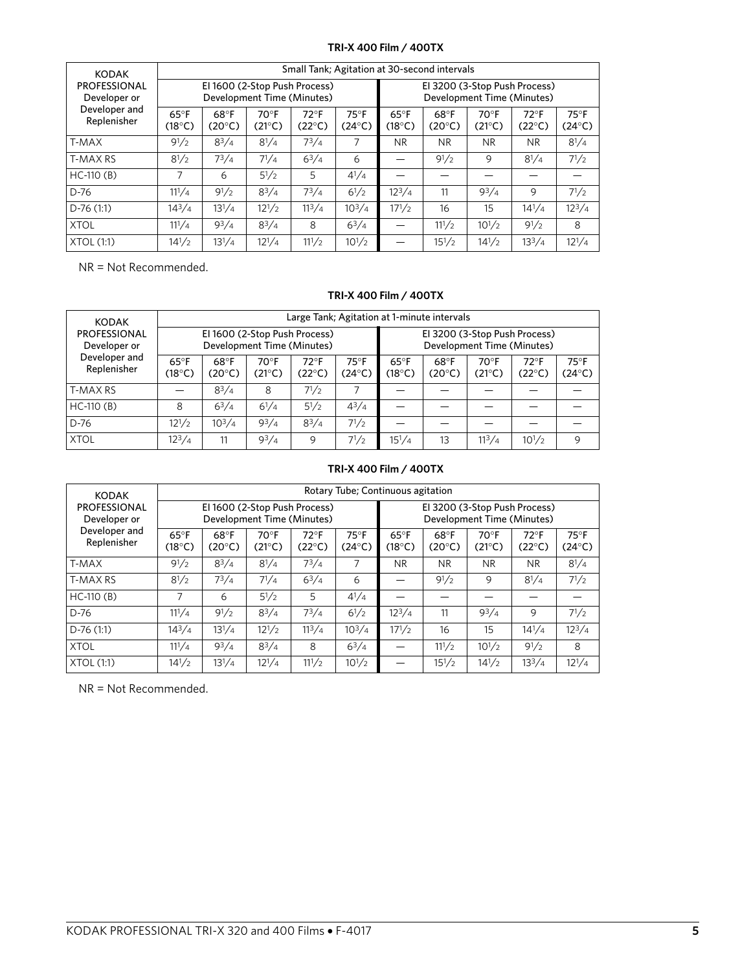#### **TRI-X 400 Film / 400TX**

| <b>KODAK</b>                                                        | Small Tank; Agitation at 30-second intervals |                                   |                                   |                                                             |                                                             |                                   |                         |                                 |                                   |                                   |  |  |
|---------------------------------------------------------------------|----------------------------------------------|-----------------------------------|-----------------------------------|-------------------------------------------------------------|-------------------------------------------------------------|-----------------------------------|-------------------------|---------------------------------|-----------------------------------|-----------------------------------|--|--|
| <b>PROFESSIONAL</b><br>Developer or<br>Developer and<br>Replenisher |                                              |                                   |                                   | El 1600 (2-Stop Push Process)<br>Development Time (Minutes) | El 3200 (3-Stop Push Process)<br>Development Time (Minutes) |                                   |                         |                                 |                                   |                                   |  |  |
|                                                                     | $65^{\circ}$ F<br>$(18^{\circ}C)$            | $68^{\circ}$ F<br>$(20^{\circ}C)$ | $70^{\circ}$ F<br>$(21^{\circ}C)$ | $72^{\circ}$ F<br>$(22^{\circ}C)$                           | $75^{\circ}$ F<br>$(24^{\circ}C)$                           | $65^{\circ}$ F<br>$(18^{\circ}C)$ | 68°F<br>$(20^{\circ}C)$ | $70^\circ F$<br>$(21^{\circ}C)$ | $72^{\circ}$ F<br>$(22^{\circ}C)$ | $75^{\circ}$ F<br>$(24^{\circ}C)$ |  |  |
| T-MAX                                                               | $9^{1}/2$                                    | $8^{3}/4$                         | $8^{1}/4$                         | $7^3/4$                                                     | 7                                                           | N <sub>R</sub>                    | NR.                     | <b>NR</b>                       | <b>NR</b>                         | $8^{1}/4$                         |  |  |
| <b>T-MAX RS</b>                                                     | $8^{1}/2$                                    | $7^{3}/4$                         | $7^{1}/4$                         | $6^{3}/4$                                                   | 6                                                           |                                   | $9^{1}/2$               | 9                               | $8^{1}/4$                         | $7^{1/2}$                         |  |  |
| $HC-110(B)$                                                         | 7                                            | 6                                 | $5^{1}/2$                         | 5                                                           | $4^{1}/4$                                                   |                                   |                         |                                 |                                   |                                   |  |  |
| $D-76$                                                              | $11^{1}/4$                                   | $9^{1}/2$                         | $8^{3}/4$                         | $7^3/4$                                                     | $6^{1}/2$                                                   | $12^{3}/4$                        | 11                      | $9^{3}/4$                       | 9                                 | $7^{1/2}$                         |  |  |
| $D-76(1:1)$                                                         | $14^{3}/4$                                   | $13^{1}/4$                        | $12^{1/2}$                        | $11^3/4$                                                    | $10^3/4$                                                    | $17^{1/2}$                        | 16                      | 15                              | $14^{1}/4$                        | $12^3/4$                          |  |  |
| <b>XTOL</b>                                                         | $11^{1}/4$                                   | $9^{3}/4$                         | $8^{3}/4$                         | 8                                                           | $6^{3}/4$                                                   |                                   | $11^{1/2}$              | $10^{1/2}$                      | $9^{1}/2$                         | 8                                 |  |  |
| <b>XTOL (1:1)</b>                                                   | $14^{1/2}$                                   | $13^{1}/4$                        | $12^{1}/4$                        | $11^{1/2}$                                                  | $10^{1/2}$                                                  |                                   | $15^{1/2}$              | $14^{1/2}$                      | $13^3/4$                          | $12^{1}/4$                        |  |  |

NR = Not Recommended.

#### **TRI-X 400 Film / 400TX**

| <b>KODAK</b>                 | Large Tank; Agitation at 1-minute intervals                 |                         |                          |                                  |                                   |                                                             |                         |                        |                          |                                   |
|------------------------------|-------------------------------------------------------------|-------------------------|--------------------------|----------------------------------|-----------------------------------|-------------------------------------------------------------|-------------------------|------------------------|--------------------------|-----------------------------------|
| PROFESSIONAL<br>Developer or | El 1600 (2-Stop Push Process)<br>Development Time (Minutes) |                         |                          |                                  |                                   | El 3200 (3-Stop Push Process)<br>Development Time (Minutes) |                         |                        |                          |                                   |
| Developer and<br>Replenisher | $65^{\circ}$ F<br>$(18^{\circ}C)$                           | 68°F<br>$(20^{\circ}C)$ | $70^{\circ}$ F<br>(21°C) | $72^{\circ}F$<br>$(22^{\circ}C)$ | $75^{\circ}$ F<br>$(24^{\circ}C)$ | $65^{\circ}$ F<br>(18°C)                                    | 68°F<br>$(20^{\circ}C)$ | $70^\circ F$<br>(21°C) | $72^{\circ}$ F<br>(22°C) | $75^{\circ}$ F<br>$(24^{\circ}C)$ |
| T-MAX RS                     |                                                             | $8^{3}/4$               | 8                        | $7^{1/2}$                        |                                   |                                                             |                         |                        |                          |                                   |
| $HC-110(B)$                  | 8                                                           | $6^{3}/4$               | $6^{1}/4$                | $5^{1}/2$                        | $4^{3}/4$                         |                                                             |                         |                        |                          |                                   |
| D-76                         | $12^{1/2}$                                                  | $10^3/4$                | $9^{3}/4$                | $8^{3}/4$                        | $7^{1/2}$                         |                                                             |                         |                        |                          |                                   |
| <b>XTOL</b>                  | $12^3/4$                                                    | 11                      | $9^{3}/4$                | 9                                | $7^{1/2}$                         | $15^{1}/4$                                                  | 13                      | $11^3/4$               | $10^{1/2}$               | 9                                 |

#### **TRI-X 400 Film / 400TX**

| <b>KODAK</b>                        | Rotary Tube; Continuous agitation |                         |                                                             |                                   |                                 |                                                             |                         |                                 |                                  |                                   |
|-------------------------------------|-----------------------------------|-------------------------|-------------------------------------------------------------|-----------------------------------|---------------------------------|-------------------------------------------------------------|-------------------------|---------------------------------|----------------------------------|-----------------------------------|
| <b>PROFESSIONAL</b><br>Developer or |                                   |                         | El 1600 (2-Stop Push Process)<br>Development Time (Minutes) |                                   |                                 | El 3200 (3-Stop Push Process)<br>Development Time (Minutes) |                         |                                 |                                  |                                   |
| Developer and<br>Replenisher        | $65^{\circ}$ F<br>$(18^{\circ}C)$ | 68°F<br>$(20^{\circ}C)$ | $70^{\circ}$ F<br>$(21^{\circ}C)$                           | $72^{\circ}$ F<br>$(22^{\circ}C)$ | $75^\circ F$<br>$(24^{\circ}C)$ | $65^{\circ}$ F<br>$(18^{\circ}C)$                           | 68°F<br>$(20^{\circ}C)$ | $70^\circ F$<br>$(21^{\circ}C)$ | $72^{\circ}F$<br>$(22^{\circ}C)$ | $75^{\circ}$ F<br>$(24^{\circ}C)$ |
| T-MAX                               | $9^{1}/2$                         | $8^{3}/4$               | $8^{1}/4$                                                   | $7^3/4$                           | 7                               | NR.                                                         | <b>NR</b>               | <b>NR</b>                       | <b>NR</b>                        | $8^{1}/4$                         |
| <b>T-MAX RS</b>                     | $8^{1}/2$                         | $7^{3}/4$               | $7^{1}/4$                                                   | $6^{3}/4$                         | 6                               |                                                             | $9^{1}/2$               | 9                               | $8^{1}/4$                        | $7^{1}/2$                         |
| $HC-110(B)$                         | 7                                 | 6                       | $5^{1}/2$                                                   | 5                                 | $4^{1}/4$                       |                                                             |                         |                                 |                                  |                                   |
| D-76                                | $11^{1}/4$                        | $9^{1}/2$               | $8^{3}/4$                                                   | $7^3/4$                           | $6^{1}/2$                       | $12^3/4$                                                    | 11                      | $9^{3}/4$                       | 9                                | $7^{1}/2$                         |
| $D-76(1:1)$                         | $14^{3}/4$                        | $13^{1}/4$              | $12^{1/2}$                                                  | $11^3/4$                          | $10^3/4$                        | $17^{1/2}$                                                  | 16                      | 15                              | $14^{1}/4$                       | $12^{3}/4$                        |
| <b>XTOL</b>                         | $11^{1}/4$                        | $9^{3}/4$               | $8^{3}/4$                                                   | 8                                 | $6^{3}/4$                       |                                                             | $11^{1/2}$              | $10^{1/2}$                      | $9^{1}/2$                        | 8                                 |
| XTOL (1:1)                          | $14^{1/2}$                        | $13^{1}/4$              | $12^{1}/4$                                                  | $11^{1/2}$                        | $10^{1/2}$                      |                                                             | $15^{1}/2$              | $14^{1/2}$                      | 13 <sup>3</sup> /4               | $12^{1}/4$                        |

NR = Not Recommended.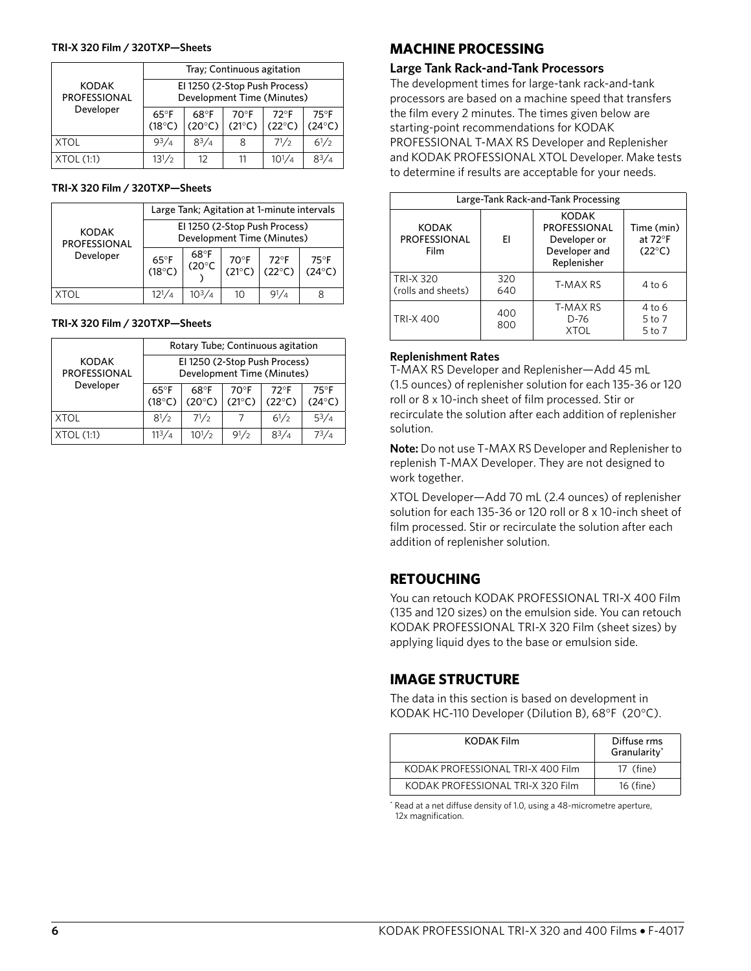#### **TRI-X 320 Film / 320TXP—Sheets**

|                                     | Tray; Continuous agitation                                  |                                 |                         |                                  |                                   |  |  |  |
|-------------------------------------|-------------------------------------------------------------|---------------------------------|-------------------------|----------------------------------|-----------------------------------|--|--|--|
| <b>KODAK</b><br><b>PROFESSIONAL</b> | El 1250 (2-Stop Push Process)<br>Development Time (Minutes) |                                 |                         |                                  |                                   |  |  |  |
| Developer                           | $65^{\circ}$ F<br>$(18^{\circ}C)$                           | $68^\circ F$<br>$(20^{\circ}C)$ | 70°F<br>$(21^{\circ}C)$ | $72^{\circ}F$<br>$(22^{\circ}C)$ | $75^{\circ}$ F<br>$(24^{\circ}C)$ |  |  |  |
| <b>XTOL</b>                         | $9^{3}/_{4}$                                                | $8^{3}/4$                       | 8                       | $7^{1/2}$                        | $6^{1}/2$                         |  |  |  |
| XTOL (1:1)                          | $13^{1}/2$                                                  | 12                              |                         | $10^{1/4}$                       | $R^3/4$                           |  |  |  |

#### **TRI-X 320 Film / 320TXP—Sheets**

|                                     | Large Tank; Agitation at 1-minute intervals                 |               |                                 |                                   |                                   |  |  |
|-------------------------------------|-------------------------------------------------------------|---------------|---------------------------------|-----------------------------------|-----------------------------------|--|--|
| <b>KODAK</b><br><b>PROFESSIONAL</b> | El 1250 (2-Stop Push Process)<br>Development Time (Minutes) |               |                                 |                                   |                                   |  |  |
| Developer                           | $65^{\circ}F$<br>(18°C)                                     | 68°F<br>(20°C | $70^\circ F$<br>$(21^{\circ}C)$ | $72^{\circ}$ F<br>$(22^{\circ}C)$ | $75^{\circ}$ F<br>$(24^{\circ}C)$ |  |  |
|                                     | $12^{1/4}$                                                  | $10^{3}/4$    | 10                              |                                   |                                   |  |  |

#### **TRI-X 320 Film / 320TXP—Sheets**

|                                     | Rotary Tube; Continuous agitation                           |                         |                         |                                  |                                   |  |  |
|-------------------------------------|-------------------------------------------------------------|-------------------------|-------------------------|----------------------------------|-----------------------------------|--|--|
| <b>KODAK</b><br><b>PROFESSIONAL</b> | El 1250 (2-Stop Push Process)<br>Development Time (Minutes) |                         |                         |                                  |                                   |  |  |
| Developer                           | $65^{\circ}$ F<br>$(18^{\circ}C)$                           | 68°F<br>$(20^{\circ}C)$ | 70°F<br>$(21^{\circ}C)$ | $72^{\circ}F$<br>$(22^{\circ}C)$ | $75^{\circ}$ F<br>$(24^{\circ}C)$ |  |  |
| XTOL                                | $8^{1/2}$                                                   | $7^{1/2}$               |                         | $6^{1/2}$                        | $5^3/4$                           |  |  |
| XTOL (1:1)                          | $11^3/4$                                                    | $10^{1/2}$              | $9^{1/2}$               | $8^{3}/_{4}$                     | 73/л                              |  |  |

## **MACHINE PROCESSING**

#### **Large Tank Rack-and-Tank Processors**

The development times for large-tank rack-and-tank processors are based on a machine speed that transfers the film every 2 minutes. The times given below are starting-point recommendations for KODAK PROFESSIONAL T-MAX RS Developer and Replenisher and KODAK PROFESSIONAL XTOL Developer. Make tests to determine if results are acceptable for your needs.

| Large-Tank Rack-and-Tank Processing         |            |                                                                                     |                                                             |  |  |  |
|---------------------------------------------|------------|-------------------------------------------------------------------------------------|-------------------------------------------------------------|--|--|--|
| <b>KODAK</b><br><b>PROFESSIONAL</b><br>Film | FI         | <b>KODAK</b><br><b>PROFESSIONAL</b><br>Developer or<br>Developer and<br>Replenisher | Time (min)<br>at 72 $\mathrm{^{\circ}F}$<br>$(22^{\circ}C)$ |  |  |  |
| <b>TRI-X 320</b><br>(rolls and sheets)      | 320<br>640 | T-MAX RS                                                                            | 4 to 6                                                      |  |  |  |
| <b>TRI-X 400</b>                            | 400<br>800 | T-MAX RS<br>D-76<br><b>IOTX</b>                                                     | $4$ to 6<br>5 to 7<br>5 to 7                                |  |  |  |

#### **Replenishment Rates**

T-MAX RS Developer and Replenisher—Add 45 mL (1.5 ounces) of replenisher solution for each 135-36 or 120 roll or 8 x 10-inch sheet of film processed. Stir or recirculate the solution after each addition of replenisher solution.

**Note:** Do not use T-MAX RS Developer and Replenisher to replenish T-MAX Developer. They are not designed to work together.

XTOL Developer—Add 70 mL (2.4 ounces) of replenisher solution for each 135-36 or 120 roll or 8 x 10-inch sheet of film processed. Stir or recirculate the solution after each addition of replenisher solution.

## **RETOUCHING**

You can retouch KODAK PROFESSIONAL TRI-X 400 Film (135 and 120 sizes) on the emulsion side. You can retouch KODAK PROFESSIONAL TRI-X 320 Film (sheet sizes) by applying liquid dyes to the base or emulsion side.

## **IMAGE STRUCTURE**

The data in this section is based on development in KODAK HC-110 Developer (Dilution B), 68°F (20°C).

| <b>KODAK Film</b>                 | Diffuse rms<br>Granularity* |
|-----------------------------------|-----------------------------|
| KODAK PROFESSIONAL TRI-X 400 Film | 17 (fine)                   |
| KODAK PROFESSIONAL TRI-X 320 Film | 16 (fine)                   |

\* Read at a net diffuse density of 1.0, using a 48-micrometre aperture, 12x magnification.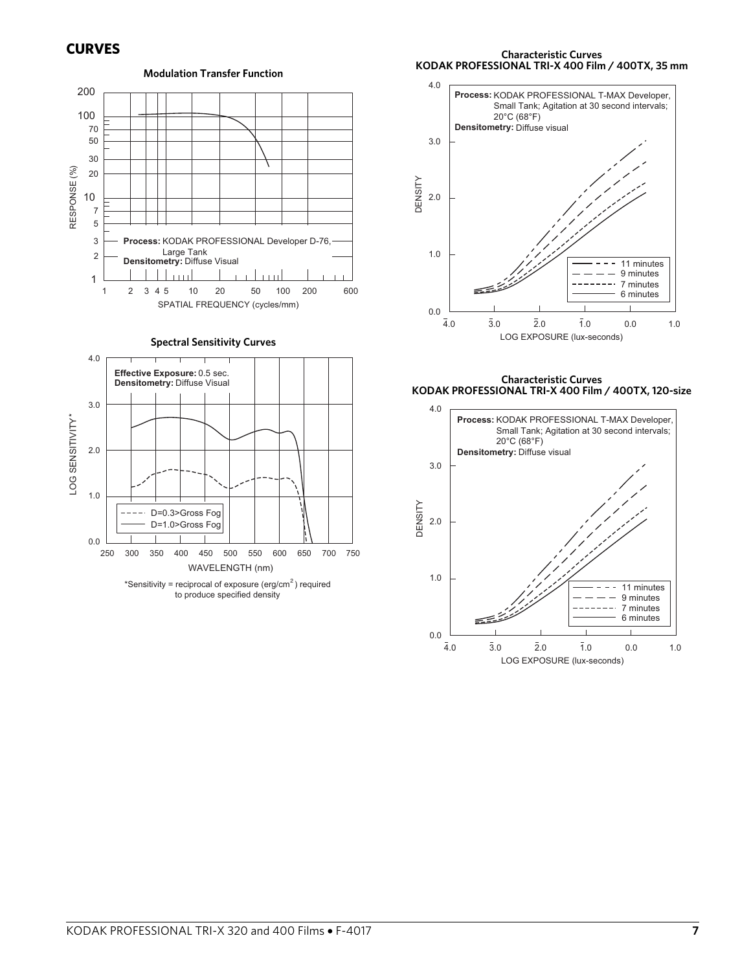

**Characteristic Curves KODAK PROFESSIONAL TRI-X 400 Film / 400TX, 35 mm**



**Characteristic Curves KODAK PROFESSIONAL TRI-X 400 Film / 400TX, 120-size**

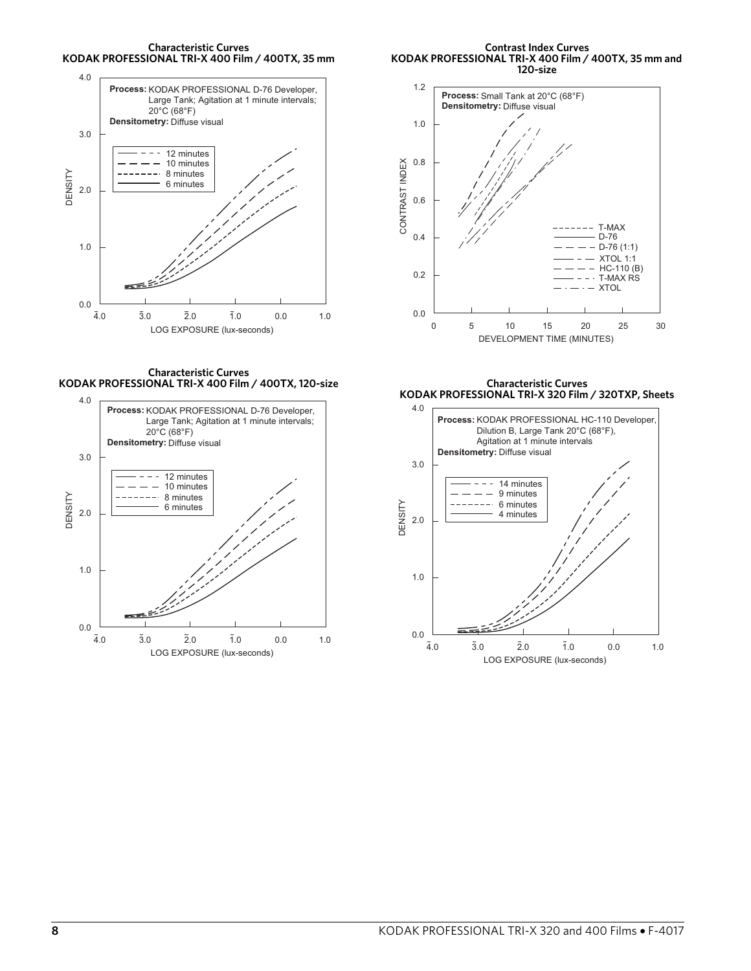**Characteristic Curves KODAK PROFESSIONAL TRI-X 400 Film / 400TX, 35 mm**



**Contrast Index Curves KODAK PROFESSIONAL TRI-X 400 Film / 400TX, 35 mm and 120-size**



**Characteristic Curves KODAK PROFESSIONAL TRI-X 400 Film / 400TX, 120-size**



**Characteristic Curves KODAK PROFESSIONAL TRI-X 320 Film / 320TXP, Sheets**